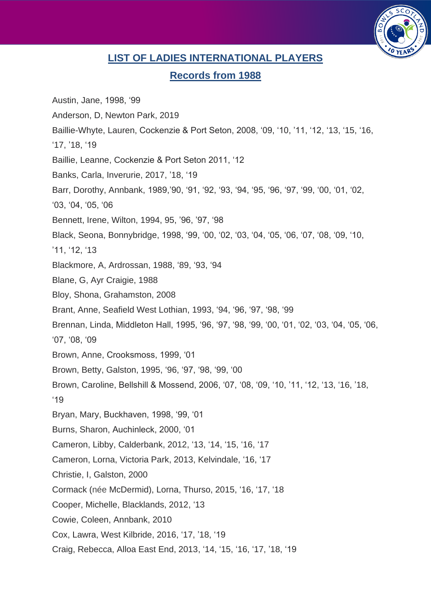

## **LIST OF LADIES INTERNATIONAL PLAYERS**

## **Records from 1988**

Austin, Jane, 1998, '99 Anderson, D, Newton Park, 2019 Baillie-Whyte, Lauren, Cockenzie & Port Seton, 2008, '09, '10, '11, '12, '13, '15, '16, '17, '18, '19 Baillie, Leanne, Cockenzie & Port Seton 2011, '12 Banks, Carla, Inverurie, 2017, '18, '19 Barr, Dorothy, Annbank, 1989,'90, '91, '92, '93, '94, '95, '96, '97, '99, '00, '01, '02, '03, '04, '05, '06 Bennett, Irene, Wilton, 1994, 95, '96, '97, '98 Black, Seona, Bonnybridge, 1998, '99, '00, '02, '03, '04, '05, '06, '07, '08, '09, '10, '11, '12, '13 Blackmore, A, Ardrossan, 1988, '89, '93, '94 Blane, G, Ayr Craigie, 1988 Bloy, Shona, Grahamston, 2008 Brant, Anne, Seafield West Lothian, 1993, '94, '96, '97, '98, '99 Brennan, Linda, Middleton Hall, 1995, '96, '97, '98, '99, '00, '01, '02, '03, '04, '05, '06, '07, '08, '09 Brown, Anne, Crooksmoss, 1999, '01 Brown, Betty, Galston, 1995, '96, '97, '98, '99, '00 Brown, Caroline, Bellshill & Mossend, 2006, '07, '08, '09, '10, '11, '12, '13, '16, '18, '19 Bryan, Mary, Buckhaven, 1998, '99, '01 Burns, Sharon, Auchinleck, 2000, '01 Cameron, Libby, Calderbank, 2012, '13, '14, '15, '16, '17 Cameron, Lorna, Victoria Park, 2013, Kelvindale, '16, '17 Christie, I, Galston, 2000 Cormack (née McDermid), Lorna, Thurso, 2015, '16, '17, '18 Cooper, Michelle, Blacklands, 2012, '13 Cowie, Coleen, Annbank, 2010 Cox, Lawra, West Kilbride, 2016, '17, '18, '19 Craig, Rebecca, Alloa East End, 2013, '14, '15, '16, '17, '18, '19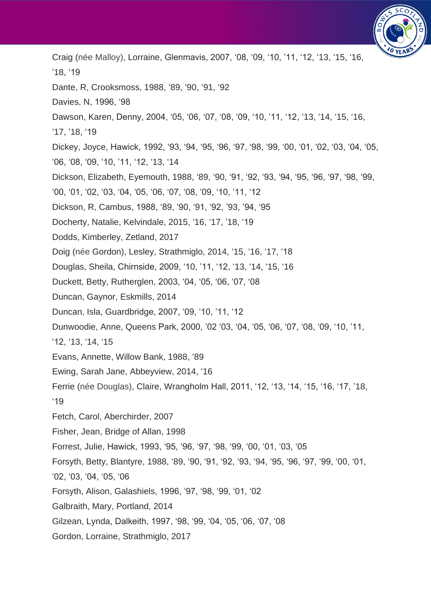

Craig (née Malloy), Lorraine, Glenmavis, 2007, '08, '09, '10, '11, '12, '13, '15, '16, '18, '19 Dante, R, Crooksmoss, 1988, '89, '90, '91, '92 Davies, N, 1996, '98 Dawson, Karen, Denny, 2004, '05, '06, '07, '08, '09, '10, '11, '12, '13, '14, '15, '16, '17, '18, '19 Dickey, Joyce, Hawick, 1992, '93, '94, '95, '96, '97, '98, '99, '00, '01, '02, '03, '04, '05, '06, '08, '09, '10, '11, '12, '13, '14 Dickson, Elizabeth, Eyemouth, 1988, '89, '90, '91, '92, '93, '94, '95, '96, '97, '98, '99, '00, '01, '02, '03, '04, '05, '06, '07, '08, '09, '10, '11, '12 Dickson, R, Cambus, 1988, '89, '90, '91, '92, '93, '94, '95 Docherty, Natalie, Kelvindale, 2015, '16, '17, '18, '19 Dodds, Kimberley, Zetland, 2017 Doig (née Gordon), Lesley, Strathmiglo, 2014, '15, '16, '17, '18 Douglas, Sheila, Chirnside, 2009, '10, '11, '12, '13, '14, '15, '16 Duckett, Betty, Rutherglen, 2003, '04, '05, '06, '07, '08 Duncan, Gaynor, Eskmills, 2014 Duncan, Isla, Guardbridge, 2007, '09, '10, '11, '12 Dunwoodie, Anne, Queens Park, 2000, '02 '03, '04, '05, '06, '07, '08, '09, '10, '11, '12, '13, '14, '15 Evans, Annette, Willow Bank, 1988, '89 Ewing, Sarah Jane, Abbeyview, 2014, '16 Ferrie (née Douglas), Claire, Wrangholm Hall, 2011, '12, '13, '14, '15, '16, '17, '18, '19 Fetch, Carol, Aberchirder, 2007 Fisher, Jean, Bridge of Allan, 1998 Forrest, Julie, Hawick, 1993, '95, '96, '97, '98, '99, '00, '01, '03, '05 Forsyth, Betty, Blantyre, 1988, '89, '90, '91, '92, '93, '94, '95, '96, '97, '99, '00, '01, '02, '03, '04, '05, '06 Forsyth, Alison, Galashiels, 1996, '97, '98, '99, '01, '02 Galbraith, Mary, Portland, 2014 Gilzean, Lynda, Dalkeith, 1997, '98, '99, '04, '05, '06, '07, '08 Gordon, Lorraine, Strathmiglo, 2017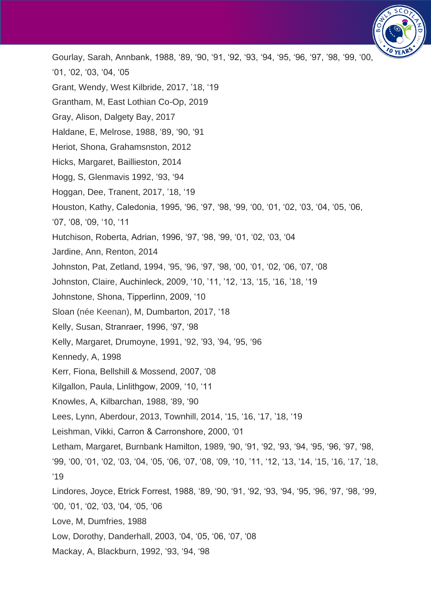

Gourlay, Sarah, Annbank, 1988, '89, '90, '91, '92, '93, '94, '95, '96, '97, '98, '99, '00, '01, '02, '03, '04, '05 Grant, Wendy, West Kilbride, 2017, '18, '19 Grantham, M, East Lothian Co-Op, 2019 Gray, Alison, Dalgety Bay, 2017 Haldane, E, Melrose, 1988, '89, '90, '91 Heriot, Shona, Grahamsnston, 2012 Hicks, Margaret, Baillieston, 2014 Hogg, S, Glenmavis 1992, '93, '94 Hoggan, Dee, Tranent, 2017, '18, '19 Houston, Kathy, Caledonia, 1995, '96, '97, '98, '99, '00, '01, '02, '03, '04, '05, '06, '07, '08, '09, '10, '11 Hutchison, Roberta, Adrian, 1996, '97, '98, '99, '01, '02, '03, '04 Jardine, Ann, Renton, 2014 Johnston, Pat, Zetland, 1994, '95, '96, '97, '98, '00, '01, '02, '06, '07, '08 Johnston, Claire, Auchinleck, 2009, '10, '11, '12, '13, '15, '16, '18, '19 Johnstone, Shona, Tipperlinn, 2009, '10 Sloan (née Keenan), M, Dumbarton, 2017, '18 Kelly, Susan, Stranraer, 1996, '97, '98 Kelly, Margaret, Drumoyne, 1991, '92, '93, '94, '95, '96 Kennedy, A, 1998 Kerr, Fiona, Bellshill & Mossend, 2007, '08 Kilgallon, Paula, Linlithgow, 2009, '10, '11 Knowles, A, Kilbarchan, 1988, '89, '90 Lees, Lynn, Aberdour, 2013, Townhill, 2014, '15, '16, '17, '18, '19 Leishman, Vikki, Carron & Carronshore, 2000, '01 Letham, Margaret, Burnbank Hamilton, 1989, '90, '91, '92, '93, '94, '95, '96, '97, '98, '99, '00, '01, '02, '03, '04, '05, '06, '07, '08, '09, '10, '11, '12, '13, '14, '15, '16, '17, '18, '19 Lindores, Joyce, Etrick Forrest, 1988, '89, '90, '91, '92, '93, '94, '95, '96, '97, '98, '99, '00, '01, '02, '03, '04, '05, '06 Love, M, Dumfries, 1988 Low, Dorothy, Danderhall, 2003, '04, '05, '06, '07, '08 Mackay, A, Blackburn, 1992, '93, '94, '98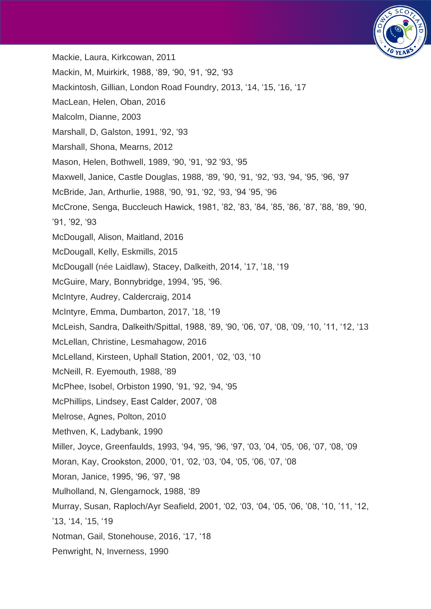

- Mackie, Laura, Kirkcowan, 2011
- Mackin, M, Muirkirk, 1988, '89, '90, '91, '92, '93
- Mackintosh, Gillian, London Road Foundry, 2013, '14, '15, '16, '17
- MacLean, Helen, Oban, 2016
- Malcolm, Dianne, 2003
- Marshall, D, Galston, 1991, '92, '93
- Marshall, Shona, Mearns, 2012
- Mason, Helen, Bothwell, 1989, '90, '91, '92 '93, '95
- Maxwell, Janice, Castle Douglas, 1988, '89, '90, '91, '92, '93, '94, '95, '96, '97
- McBride, Jan, Arthurlie, 1988, '90, '91, '92, '93, '94 '95, '96
- McCrone, Senga, Buccleuch Hawick, 1981, '82, '83, '84, '85, '86, '87, '88, '89, '90,
- '91, '92, '93
- McDougall, Alison, Maitland, 2016
- McDougall, Kelly, Eskmills, 2015
- McDougall (née Laidlaw), Stacey, Dalkeith, 2014, '17, '18, '19
- McGuire, Mary, Bonnybridge, 1994, '95, '96.
- McIntyre, Audrey, Caldercraig, 2014
- McIntyre, Emma, Dumbarton, 2017, '18, '19
- McLeish, Sandra, Dalkeith/Spittal, 1988, '89, '90, '06, '07, '08, '09, '10, '11, '12, '13
- McLellan, Christine, Lesmahagow, 2016
- McLelland, Kirsteen, Uphall Station, 2001, '02, '03, '10
- McNeill, R. Eyemouth, 1988, '89
- McPhee, Isobel, Orbiston 1990, '91, '92, '94, '95
- McPhillips, Lindsey, East Calder, 2007, '08
- Melrose, Agnes, Polton, 2010
- Methven, K, Ladybank, 1990
- Miller, Joyce, Greenfaulds, 1993, '94, '95, '96, '97, '03, '04, '05, '06, '07, '08, '09
- Moran, Kay, Crookston, 2000, '01, '02, '03, '04, '05, '06, '07, '08
- Moran, Janice, 1995, '96, '97, '98
- Mulholland, N, Glengarnock, 1988, '89
- Murray, Susan, Raploch/Ayr Seafield, 2001, '02, '03, '04, '05, '06, '08, '10, '11, '12,
- '13, '14, '15, '19
- Notman, Gail, Stonehouse, 2016, '17, '18
- Penwright, N, Inverness, 1990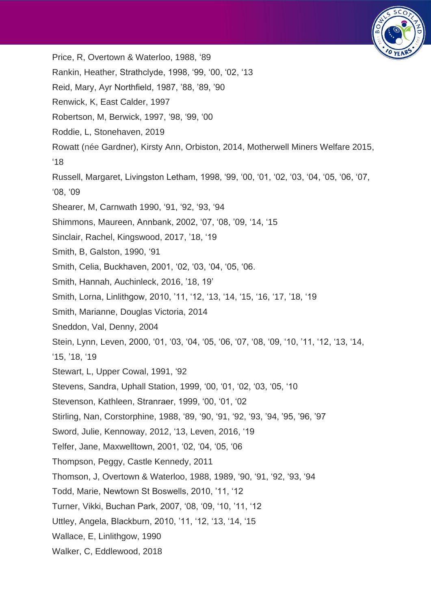

Price, R, Overtown & Waterloo, 1988, '89 Rankin, Heather, Strathclyde, 1998, '99, '00, '02, '13 Reid, Mary, Ayr Northfield, 1987, '88, '89, '90 Renwick, K, East Calder, 1997 Robertson, M, Berwick, 1997, '98, '99, '00 Roddie, L, Stonehaven, 2019 Rowatt (née Gardner), Kirsty Ann, Orbiston, 2014, Motherwell Miners Welfare 2015, '18 Russell, Margaret, Livingston Letham, 1998, '99, '00, '01, '02, '03, '04, '05, '06, '07, '08, '09 Shearer, M, Carnwath 1990, '91, '92, '93, '94 Shimmons, Maureen, Annbank, 2002, '07, '08, '09, '14, '15 Sinclair, Rachel, Kingswood, 2017, '18, '19 Smith, B, Galston, 1990, '91 Smith, Celia, Buckhaven, 2001, '02, '03, '04, '05, '06. Smith, Hannah, Auchinleck, 2016, '18, 19' Smith, Lorna, Linlithgow, 2010, '11, '12, '13, '14, '15, '16, '17, '18, '19 Smith, Marianne, Douglas Victoria, 2014 Sneddon, Val, Denny, 2004 Stein, Lynn, Leven, 2000, '01, '03, '04, '05, '06, '07, '08, '09, '10, '11, '12, '13, '14, '15, '18, '19 Stewart, L, Upper Cowal, 1991, '92 Stevens, Sandra, Uphall Station, 1999, '00, '01, '02, '03, '05, '10 Stevenson, Kathleen, Stranraer, 1999, '00, '01, '02 Stirling, Nan, Corstorphine, 1988, '89, '90, '91, '92, '93, '94, '95, '96, '97 Sword, Julie, Kennoway, 2012, '13, Leven, 2016, '19 Telfer, Jane, Maxwelltown, 2001, '02, '04, '05, '06 Thompson, Peggy, Castle Kennedy, 2011 Thomson, J, Overtown & Waterloo, 1988, 1989, '90, '91, '92, '93, '94 Todd, Marie, Newtown St Boswells, 2010, '11, '12 Turner, Vikki, Buchan Park, 2007, '08, '09, '10, '11, '12 Uttley, Angela, Blackburn, 2010, '11, '12, '13, '14, '15 Wallace, E, Linlithgow, 1990 Walker, C, Eddlewood, 2018